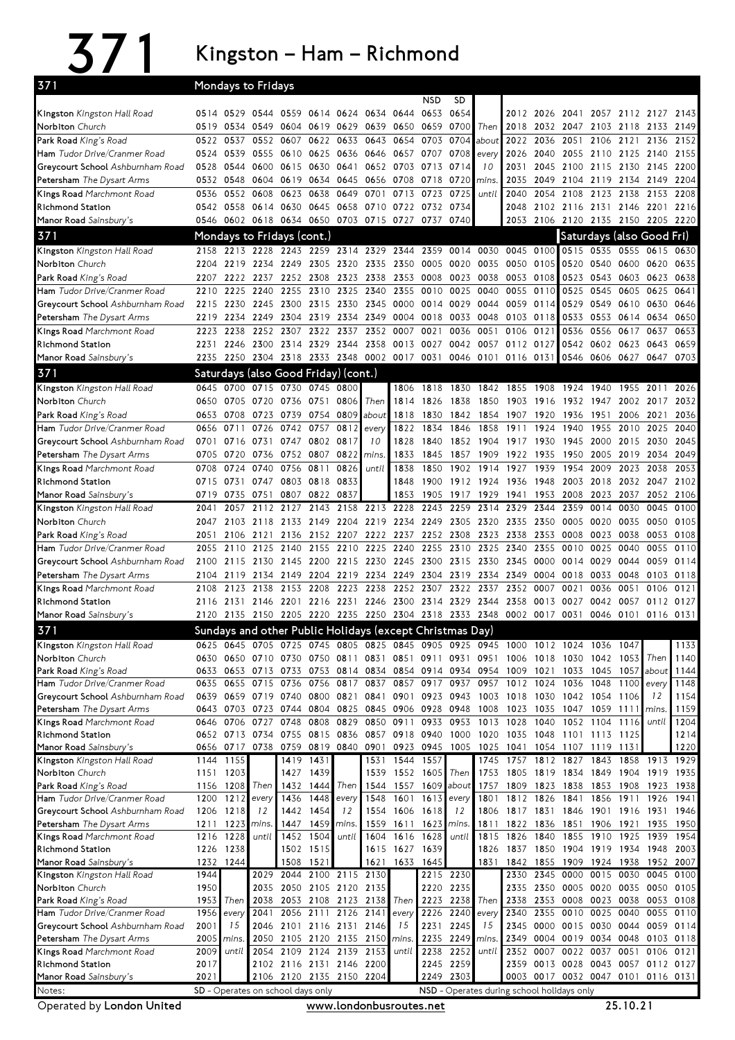## 371 Kingston–Ham–Richmond

| 371                                                           |              | Mondays to Fridays                                          |                                                                       |              |                             |                   |                                            |                   |                     |                   |                               |              |              |                                                      |                             |                                    |              |              |
|---------------------------------------------------------------|--------------|-------------------------------------------------------------|-----------------------------------------------------------------------|--------------|-----------------------------|-------------------|--------------------------------------------|-------------------|---------------------|-------------------|-------------------------------|--------------|--------------|------------------------------------------------------|-----------------------------|------------------------------------|--------------|--------------|
|                                                               |              |                                                             |                                                                       |              |                             |                   |                                            |                   | NSD                 | SD.               |                               |              |              |                                                      |                             |                                    |              |              |
| Kingston Kingston Hall Road                                   |              | 0514 0529                                                   |                                                                       |              | 0544 0559 0614 0624         |                   | 0634                                       | 0644              | 0653                | 0654              |                               | 2012         | 2026         | 2041                                                 | 2057                        | 2112 2127                          |              | 2143         |
| Norbiton Church                                               | 0519         |                                                             | 0534 0549 0604 0619 0629 0639                                         |              |                             |                   |                                            | 0650 0659         |                     | 0700              | Then                          | 2018         | 2032 2047    |                                                      |                             | 2103 2118 2133 2149                |              |              |
| Park Road King's Road<br><b>Ham</b> Tudor Drive/Cranmer Road  | 0522         | 0537<br>0539                                                | 0552                                                                  | 0607         | 0622                        | 0633              | 0643                                       | 0654<br>0657 0707 | 0703                | 0704<br>0708      | about                         | 2022         | 2036<br>2040 | 2051                                                 |                             | 2106 2121 2136                     | 2140         | 2152<br>2155 |
| Greycourt School Ashburnham Road                              | 0524<br>0528 | 0544                                                        | 0555<br>0600 0615                                                     | 0610         | 0625                        | 0636<br>0630 0641 | 0646<br>0652                               | 0703 0713         |                     | 0714              | every<br>10                   | 2026<br>2031 | 2045         | 2055<br>2100                                         | 2110 2125<br>2115           | 2130                               | 2145         | 2200         |
| Petersham The Dysart Arms                                     | 0532         | 0548                                                        | 0604                                                                  | 0619         | 0634                        | 0645              | 0656                                       | 0708              | 0718                | 0720              | mins.                         | 2035         | 2049         | 2104 2119 2134                                       |                             |                                    | 2149         | 2204         |
| Kings Road Marchmont Road                                     | 0536         | 0552                                                        | 0608                                                                  | 0623         | 0638                        | 0649              | 0701                                       | 0713              | 0723                | 0725              | until                         | 2040         | 2054         | 2108                                                 | 2123 2138                   |                                    | 2153         | 2208         |
| Richmond Station                                              |              | 0542 0558                                                   |                                                                       |              |                             |                   | 0614 0630 0645 0658 0710 0722 0732         |                   |                     | 0734              |                               | 2048         |              |                                                      |                             | 2102 2116 2131 2146 2201 2216      |              |              |
| Manor Road Sainsbury's                                        |              | 0546 0602                                                   | 0618 0634 0650 0703 0715 0727 0737                                    |              |                             |                   |                                            |                   |                     | 0740              |                               |              |              |                                                      |                             | 2053 2106 2120 2135 2150 2205 2220 |              |              |
| 371                                                           |              |                                                             | Mondays to Fridays (cont.)                                            |              |                             |                   |                                            |                   |                     |                   |                               |              |              |                                                      |                             | Saturdays (also Good Fri)          |              |              |
| Kingston Kingston Hall Road                                   | 2158         |                                                             | 2213 2228 2243 2259 2314 2329 2344 2359 0014 0030 0045 0100           |              |                             |                   |                                            |                   |                     |                   |                               |              |              |                                                      |                             | 0515 0535 0555 0615                |              | 0630         |
| Norbiton Church                                               | 2204         | 2219                                                        | 2234 2249                                                             |              |                             | 2305 2320 2335    |                                            | 2350 0005         |                     | 0020              | 0035 0050                     |              | 0105         | 0520                                                 | 0540 0600                   |                                    | 0620         | 0635         |
| Park Road King's Road                                         | 2207         | 2222                                                        | 2237                                                                  | 2252         | 2308                        | 2323              | 2338                                       | 2353              | 0008                | 0023              | 0038                          | 0053         | 0108         | 0523                                                 | 0543                        | 0603                               | 0623         | 0638         |
| Ham Tudor Drive/Cranmer Road                                  | 2210         | 2225                                                        | 2240                                                                  | 2255         | 2310                        | 2325              | 2340                                       | 2355              | 0010                | 0025              | 0040                          | 0055         | 0110         | 0525                                                 | 0545                        | 0605                               | 0625         | 0641         |
| Greycourt School Ashburnham Road                              | 2215         |                                                             | 2230 2245 2300 2315 2330 2345                                         |              |                             |                   |                                            | 0000 0014         |                     |                   | 0029 0044 0059                |              | 0114         | 0529                                                 |                             | 0549 0610 0630                     |              | 0646         |
| Petersham The Dysart Arms                                     | 2219         | 2234                                                        |                                                                       | 2249 2304    |                             | 2319 2334         | 2349                                       | 0004 0018         |                     | 0033              | 0048                          | 0103         | 0118         | 0533                                                 | 0553                        | 0614 0634                          |              | 0650         |
| Kings Road Marchmont Road                                     | 2223         | 2238                                                        | 2252 2307                                                             |              |                             | 2322 2337         | 2352                                       | 0007              | 0021                | 0036              | 0051                          | 0106         | 0121         | 0536                                                 | 0556                        | 0617                               | 0637         | 0653         |
| <b>Richmond Station</b>                                       | 2231<br>2235 | 2246                                                        | 2300 2314<br>2304 2318 2333 2348 0002 0017 0031                       |              | 2329 2344                   |                   | 2358                                       | 0013 0027         |                     |                   | 0042 0057 0112                |              | 0127         |                                                      | 0542 0602 0623              | 0546 0606 0627 0647                | 0643         | 0659<br>0703 |
| Manor Road Sainsbury's                                        |              | 2250                                                        |                                                                       |              |                             |                   |                                            |                   |                     |                   | 0046 0101 0116 0131           |              |              |                                                      |                             |                                    |              |              |
| 371                                                           |              |                                                             | Saturdays (also Good Friday) (cont.)                                  |              |                             |                   |                                            |                   |                     |                   |                               |              |              |                                                      |                             |                                    |              |              |
| Kingston Kingston Hall Road<br>Norbiton Church                |              | 0645 0700                                                   | 0705 0720 0736                                                        |              | 0715 0730 0745 0800<br>0751 | 0806              |                                            | 1806              | 1818<br>1826        | 1830              | 1842                          | 1855         | 1908         | 1924                                                 | 1940                        | 1955                               | 2011         | 2026<br>2032 |
| Park Road King's Road                                         | 0650<br>0653 | 0708                                                        | 0723                                                                  | 0739         | 0754                        | 0809              | Then<br>about                              | 1814<br>1818      | 1830                | 1838<br>1842      | 1850<br>1854                  | 1903<br>1907 | 1916<br>1920 | 1932 1947<br>1936                                    | 1951                        | 2002<br>2006                       | 2017<br>2021 | 2036         |
| Ham Tudor Drive/Cranmer Road                                  | 0656         | 0711                                                        | 0726                                                                  | 0742         | 0757                        | 0812              | every                                      | 1822              | 1834                | 1846              | 1858                          | 1911         | 1924         | 1940                                                 | 1955                        | 2010                               | 2025         | 2040         |
| Greycourt School Ashburnham Road                              | 0701         | 0716                                                        | 0731                                                                  | 0747         | 0802 0817                   |                   | 10                                         | 1828              | 1840                | 1852              | 1904                          | 1917         | 1930         | 1945                                                 | 2000                        | 2015                               | 2030         | 2045         |
| Petersham The Dysart Arms                                     | 0705         | 0720                                                        | 0736                                                                  | 0752 0807    |                             | 0822              | mins.                                      | 1833              | 1845                | 1857              | 1909                          | 1922         | 1935         | 1950                                                 | 2005                        | 2019                               | 2034         | 2049         |
| Kings Road Marchmont Road                                     | 0708         | 0724                                                        | 0740                                                                  | 0756         | 0811                        | 0826              | until                                      | 1838              | 1850                | 1902              | 1914                          | 1927         | 1939         | 1954                                                 | 2009                        | 2023                               | 2038         | 2053         |
| <b>Richmond Station</b>                                       | 0715         | 0731 0747                                                   |                                                                       |              | 0803 0818 0833              |                   |                                            | 1848              | 1900                |                   | 1912 1924 1936                |              | 1948         | 2003 2018                                            |                             | 2032 2047                          |              | 2102         |
| Manor Road Sainsbury's                                        | 0719         | 0735                                                        | 0751                                                                  | 0807         | 0822                        | 0837              |                                            | 1853              | 1905                | 1917              | 1929                          | 1941         | 1953         | 2008                                                 | 2023                        | 2037                               | 2052         | 2106         |
| Kingston Kingston Hall Road                                   | 2041         | 2057                                                        | 2112 2127                                                             |              | 2143                        | 2158              | 2213 2228                                  |                   | 2243                |                   | 2259 2314                     | 2329         | 2344         | 2359                                                 | 0014                        | 0030                               | 0045         | 0100         |
| Norbiton Church                                               | 2047         | 2103                                                        | 2118                                                                  | 2133         | 2149                        | 2204              | 2219                                       |                   | 2234 2249 2305      |                   | 2320                          | 2335         | 2350         | 0005                                                 | 0020                        | 0035                               | 0050         | 0105         |
| Park Road King's Road                                         | 2051         | 2106                                                        | 2121                                                                  | 2136         | 2152 2207                   |                   | 2222                                       | 2237              | 2252 2308           |                   | 2323 2338                     |              | 2353         | 0008                                                 | 0023                        | 0038                               | 0053         | 0108         |
| Ham Tudor Drive/Cranmer Road                                  | 2055<br>2100 | 2110<br>2115                                                | 2125<br>2130                                                          | 2140<br>2145 | 2155                        | 2210<br>2200 2215 | 2225<br>2230                               | 2240              | 2255<br>2245 2300   | 2310<br>2315      | 2325<br>2330 2345             | 2340         | 2355<br>0000 | 0010<br>0014                                         | 0025<br>0029                | 0040<br>0044                       | 0055<br>0059 | 0110<br>0114 |
| Greycourt School Ashburnham Road<br>Petersham The Dysart Arms | 2104         | 2119                                                        | 2134                                                                  |              | 2149 2204 2219              |                   | 2234 2249 2304                             |                   |                     |                   | 2319 2334 2349                |              | 0004         | 0018 0033                                            |                             | 0048                               | 0103         | 0118         |
| Kings Road Marchmont Road                                     | 2108         |                                                             | 2123 2138                                                             | 2153 2208    |                             | 2223              | 2238                                       |                   | 2252 2307 2322 2337 |                   |                               | 2352         | 0007         | 0021                                                 | 0036                        | 0051                               | 0106         | 0121         |
| <b>Richmond Station</b>                                       |              |                                                             | 2116 2131 2146 2201 2216 2231 2246 2300 2314 2329 2344 2358           |              |                             |                   |                                            |                   |                     |                   |                               |              | 0013         | 0027                                                 | 0042                        | 0057                               | 0112         | 0127         |
| Manor Road Sainsbury's                                        |              |                                                             | 2120 2135 2150 2205 2220 2235 2250 2304 2318 2333 2348 0002 0017 0031 |              |                             |                   |                                            |                   |                     |                   |                               |              |              |                                                      |                             | 0046 0101 0116 0131                |              |              |
| 371                                                           |              |                                                             | Sundavs and other Public Holidavs (except Christmas Dav)              |              |                             |                   |                                            |                   |                     |                   |                               |              |              |                                                      |                             |                                    |              |              |
| Kingston Kingston Hall Road                                   |              |                                                             |                                                                       |              |                             |                   |                                            |                   |                     |                   |                               |              |              |                                                      |                             |                                    |              |              |
| Norbiton Church                                               |              | 0625 0645 0705 0725 0745 0805 0825 0845 0905 0925 0945 1000 |                                                                       |              |                             |                   |                                            |                   |                     |                   |                               |              |              | 1012 1024                                            | 1036                        | 1047                               |              | 1133         |
|                                                               | 0630         | 0650                                                        | 0710                                                                  | 0730         | 0750                        | 0811              | 0831                                       |                   | 0851 0911           | 0931              | 0951                          | 1006         | 1018         | 1030                                                 | 1042                        | 1053 Then                          |              | 1140         |
| Park Road King's Road                                         | 0633         |                                                             | 0653 0713 0733                                                        |              |                             |                   | 0753 0814 0834 0854 0914 0934 0954 1009    |                   |                     |                   |                               |              | 1021         | 1033                                                 | 1045                        | 1057 about                         |              | 1144         |
| Ham Tudor Drive/Cranmer Road                                  | 0635         | 0655                                                        | 0715                                                                  | 0736         |                             | 0756 0817         | 0837                                       |                   | 0857 0917           | 0937              | 0957                          | 1012         | 1024         | 1036                                                 | 1048                        | 1100 every                         |              | 1148         |
| Greycourt School Ashburnham Road                              |              |                                                             | 0639 0659 0719 0740                                                   |              | 0800 0821                   |                   |                                            |                   |                     |                   | 0841 0901 0923 0943 1003 1018 |              |              | 1030 1042 1054 1106                                  |                             |                                    | 12           | 1154         |
| Petersham The Dysart Arms                                     | 0643         |                                                             | 0703 0723                                                             | 0744         |                             | 0804 0825         |                                            | 0845 0906 0928    |                     | 0948              | 1008                          | 1023         | 1035         | 1047                                                 |                             | 1059 1111 mins.                    |              | 1159         |
| Kings Road Marchmont Road                                     | 0646         | 0706                                                        | 0727                                                                  | 0748         | 0808                        | 0829              | 0850                                       | 0911              | 0933                | 0953              | 1013                          | 1028         | 1040         | 1052                                                 | 1104                        | 1116                               | until        | 1204         |
| <b>Richmond Station</b><br>Manor Road Sainsbury's             |              | 0652 0713 0734<br>0656 0717 0738                            |                                                                       | 0755<br>0759 |                             |                   | 0815 0836 0857 0918 0940<br>0819 0840 0901 |                   | 0923 0945 1005      |                   | 1000 1020 1035 1048           |              |              | 1101 1113 1125<br>1025 1041 1054 1107 1119 1131      |                             |                                    |              | 1214<br>1220 |
| Kingston Kingston Hall Road                                   |              | 1144 1155                                                   |                                                                       | 1419         | 1431                        |                   |                                            | 1531 1544 1557    |                     |                   | 1745                          | 1757         | 1812 1827    |                                                      | 1843                        | 1858                               | 1913 1929    |              |
| Norbiton Church                                               |              | 1151 1203                                                   |                                                                       |              | 1427 1439                   |                   | 1539                                       | 1552 1605         |                     | Then              | 1753                          | 1805         |              | 1819 1834 1849 1904                                  |                             |                                    | 1919         | 1935         |
| Park Road King's Road                                         | 1156         | 1208                                                        | Then                                                                  | 1432         | 1444                        | Then              | 1544                                       |                   | 1557 1609           | about             | 1757                          | 1809         | 1823         | 1838                                                 |                             | 1853 1908                          | 1923         | 1938         |
| Ham Tudor Drive/Cranmer Road                                  | 1200         | 1212                                                        | every                                                                 | 1436         | 1448                        | every             | 1548                                       | 1601              | 1613                | every             | 1801                          | 1812         | 1826         | 1841                                                 | 1856                        | 1911                               | 1926         | 1941         |
| Greycourt School Ashburnham Road                              | 1206         | 1218                                                        | 12                                                                    | 1442         | 1454                        | 12                | 1554                                       |                   | 1606 1618           | 12                | 1806                          | 1817         | 1831         | 1846                                                 | 1901 1916                   |                                    | 1931         | 1946         |
| Petersham The Dysart Arms                                     | 1211         | 1223                                                        | mins.                                                                 | 1447         | 1459                        | mins.             | 1559                                       | 1611              | 1623                | mins.             | 1811                          | 1822         | 1836         | 1851                                                 | 1906 1921                   |                                    | 1935         | 1950         |
| Kings Road Marchmont Road<br><b>Richmond Station</b>          |              | 1216 1228                                                   | until                                                                 | 1452         | 1504                        | until             | 1604                                       |                   | 1616 1628           | until             | 1815<br>1826                  | 1826         | 1840<br>1850 | 1855                                                 | 1910 1925                   |                                    | 1939<br>1948 | 1954<br>2003 |
| Manor Road Sainsbury's                                        |              | 1226 1238<br>1232 1244                                      |                                                                       | 1508         | 1502 1515<br>1521           |                   | 1615<br>1621                               | 1627<br>1633      | 1639<br>1645        |                   | 1831                          | 1837<br>1842 | 1855         | 1909                                                 | 1904 1919 1934<br>1924 1938 |                                    | 1952         | 2007         |
| Kingston Kingston Hall Road                                   | 1944         |                                                             | 2029                                                                  | 2044         |                             | 2100 2115 2130    |                                            |                   |                     | 2215 2230         |                               | 2330         | 2345 0000    |                                                      | 0015 0030                   |                                    | 0045         | 0100         |
| Norbiton Church                                               | 1950         |                                                             | 2035                                                                  | 2050         |                             | 2105 2120 2135    |                                            |                   | 2220                | 2235              |                               | 2335         |              | 2350 0005 0020 0035                                  |                             |                                    | 0050         | 0105         |
| Park Road King's Road                                         | 1953         | Then                                                        | 2038                                                                  | 2053         |                             |                   | 2108 2123 2138                             | Then              | 2223                | 2238              | Then                          | 2338         |              | 2353 0008 0023 0038                                  |                             |                                    | 0053         | 0108         |
| Ham Tudor Drive/Cranmer Road                                  | 1956         | every                                                       | 2041                                                                  | 2056         | 2111                        | 2126              | 2141                                       | every             | 2226                | 2240              | every                         | 2340         | 2355         | 0010                                                 | 0025 0040                   |                                    | 0055         | 0110         |
| Greycourt School Ashburnham Road                              | 2001         | 15                                                          | 2046                                                                  |              | 2101 2116 2131 2146         |                   |                                            | 15                | 2231                | 2245              | 15                            | 2345         |              | 0000 0015 0030 0044                                  |                             |                                    |              | 0059 0114    |
| Petersham The Dysart Arms<br>Kings Road Marchmont Road        | 2005<br>2009 | mins.<br>until                                              |                                                                       |              | 2054 2109 2124 2139         |                   | 2050 2105 2120 2135 2150<br>2153           | mins.<br>until    | 2238                | 2235 2249<br>2252 | mins.<br>until                |              |              | 2349 0004 0019 0034 0048<br>2352 0007 0022 0037 0051 |                             |                                    | 0103<br>0106 | 0118<br>0121 |
| Richmond Station                                              | 2017         |                                                             |                                                                       |              | 2102 2116 2131 2146 2200    |                   |                                            |                   | 2245 2259           |                   |                               |              |              |                                                      |                             | 2359 0013 0028 0043 0057 0112 0127 |              |              |
| Manor Road Sainsbury's                                        | 2021         |                                                             | SD - Operates on school days only                                     |              | 2106 2120 2135 2150 2204    |                   |                                            |                   | 2249                | 2303              |                               |              |              | NSD - Operates during school holidays only           |                             | 0003 0017 0032 0047 0101 0116 0131 |              |              |

Operated by London United www.londonbusroutes.net 25.10.21